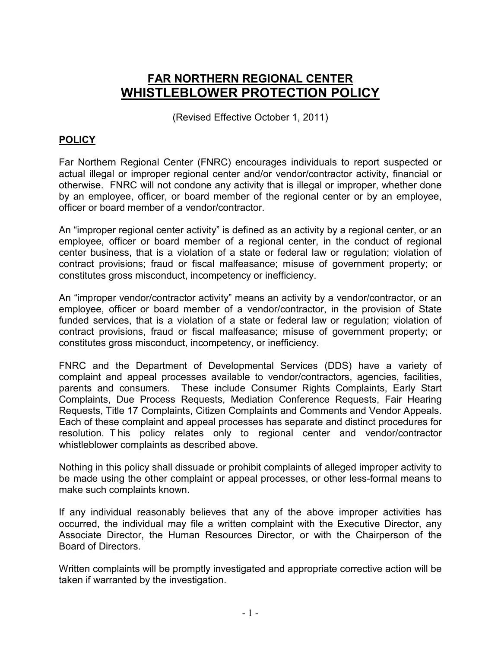## **FAR NORTHERN REGIONAL CENTER WHISTLEBLOWER PROTECTION POLICY**

(Revised Effective October 1, 2011)

## **POLICY**

Far Northern Regional Center (FNRC) encourages individuals to report suspected or actual illegal or improper regional center and/or vendor/contractor activity, financial or otherwise. FNRC will not condone any activity that is illegal or improper, whether done by an employee, officer, or board member of the regional center or by an employee, officer or board member of a vendor/contractor.

An "improper regional center activity" is defined as an activity by a regional center, or an employee, officer or board member of a regional center, in the conduct of regional center business, that is a violation of a state or federal law or regulation; violation of contract provisions; fraud or fiscal malfeasance; misuse of government property; or constitutes gross misconduct, incompetency or inefficiency.

An "improper vendor/contractor activity" means an activity by a vendor/contractor, or an employee, officer or board member of a vendor/contractor, in the provision of State funded services, that is a violation of a state or federal law or regulation; violation of contract provisions, fraud or fiscal malfeasance; misuse of government property; or constitutes gross misconduct, incompetency, or inefficiency.

FNRC and the Department of Developmental Services (DDS) have a variety of complaint and appeal processes available to vendor/contractors, agencies, facilities, parents and consumers. These include Consumer Rights Complaints, Early Start Complaints, Due Process Requests, Mediation Conference Requests, Fair Hearing Requests, Title 17 Complaints, Citizen Complaints and Comments and Vendor Appeals. Each of these complaint and appeal processes has separate and distinct procedures for resolution. T his policy relates only to regional center and vendor/contractor whistleblower complaints as described above.

Nothing in this policy shall dissuade or prohibit complaints of alleged improper activity to be made using the other complaint or appeal processes, or other less-formal means to make such complaints known.

If any individual reasonably believes that any of the above improper activities has occurred, the individual may file a written complaint with the Executive Director, any Associate Director, the Human Resources Director, or with the Chairperson of the Board of Directors.

Written complaints will be promptly investigated and appropriate corrective action will be taken if warranted by the investigation.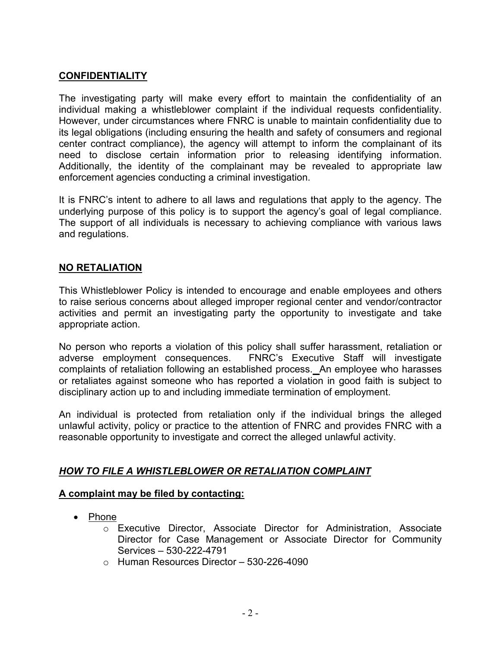## **CONFIDENTIALITY**

The investigating party will make every effort to maintain the confidentiality of an individual making a whistleblower complaint if the individual requests confidentiality. However, under circumstances where FNRC is unable to maintain confidentiality due to its legal obligations (including ensuring the health and safety of consumers and regional center contract compliance), the agency will attempt to inform the complainant of its need to disclose certain information prior to releasing identifying information. Additionally, the identity of the complainant may be revealed to appropriate law enforcement agencies conducting a criminal investigation.

It is FNRC's intent to adhere to all laws and regulations that apply to the agency. The underlying purpose of this policy is to support the agency's goal of legal compliance. The support of all individuals is necessary to achieving compliance with various laws and regulations.

### **NO RETALIATION**

This Whistleblower Policy is intended to encourage and enable employees and others to raise serious concerns about alleged improper regional center and vendor/contractor activities and permit an investigating party the opportunity to investigate and take appropriate action.

No person who reports a violation of this policy shall suffer harassment, retaliation or adverse employment consequences. FNRC's Executive Staff will investigate complaints of retaliation following an established process.An employee who harasses or retaliates against someone who has reported a violation in good faith is subject to disciplinary action up to and including immediate termination of employment.

An individual is protected from retaliation only if the individual brings the alleged unlawful activity, policy or practice to the attention of FNRC and provides FNRC with a reasonable opportunity to investigate and correct the alleged unlawful activity.

## *HOW TO FILE A WHISTLEBLOWER OR RETALIATION COMPLAINT*

#### **A complaint may be filed by contacting:**

- Phone
	- o Executive Director, Associate Director for Administration, Associate Director for Case Management or Associate Director for Community Services – 530-222-4791
	- $\circ$  Human Resources Director 530-226-4090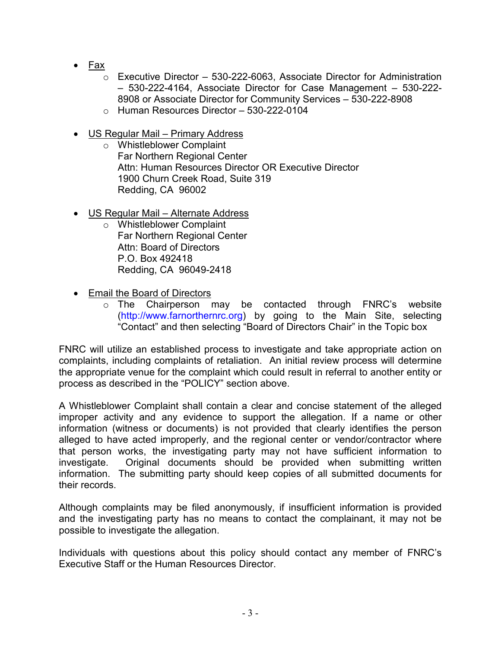- Fax
	- o Executive Director 530-222-6063, Associate Director for Administration – 530-222-4164, Associate Director for Case Management – 530-222- 8908 or Associate Director for Community Services – 530-222-8908
	- $\circ$  Human Resources Director 530-222-0104
- US Regular Mail Primary Address
	- o Whistleblower Complaint Far Northern Regional Center Attn: Human Resources Director OR Executive Director 1900 Churn Creek Road, Suite 319 Redding, CA 96002
- US Regular Mail Alternate Address
	- o Whistleblower Complaint Far Northern Regional Center Attn: Board of Directors P.O. Box 492418 Redding, CA 96049-2418
- Email the Board of Directors
	- o The Chairperson may be contacted through FNRC's website (http://www.farnorthernrc.org) by going to the Main Site, selecting "Contact" and then selecting "Board of Directors Chair" in the Topic box

FNRC will utilize an established process to investigate and take appropriate action on complaints, including complaints of retaliation. An initial review process will determine the appropriate venue for the complaint which could result in referral to another entity or process as described in the "POLICY" section above.

A Whistleblower Complaint shall contain a clear and concise statement of the alleged improper activity and any evidence to support the allegation. If a name or other information (witness or documents) is not provided that clearly identifies the person alleged to have acted improperly, and the regional center or vendor/contractor where that person works, the investigating party may not have sufficient information to investigate. Original documents should be provided when submitting written information. The submitting party should keep copies of all submitted documents for their records.

Although complaints may be filed anonymously, if insufficient information is provided and the investigating party has no means to contact the complainant, it may not be possible to investigate the allegation.

Individuals with questions about this policy should contact any member of FNRC's Executive Staff or the Human Resources Director.